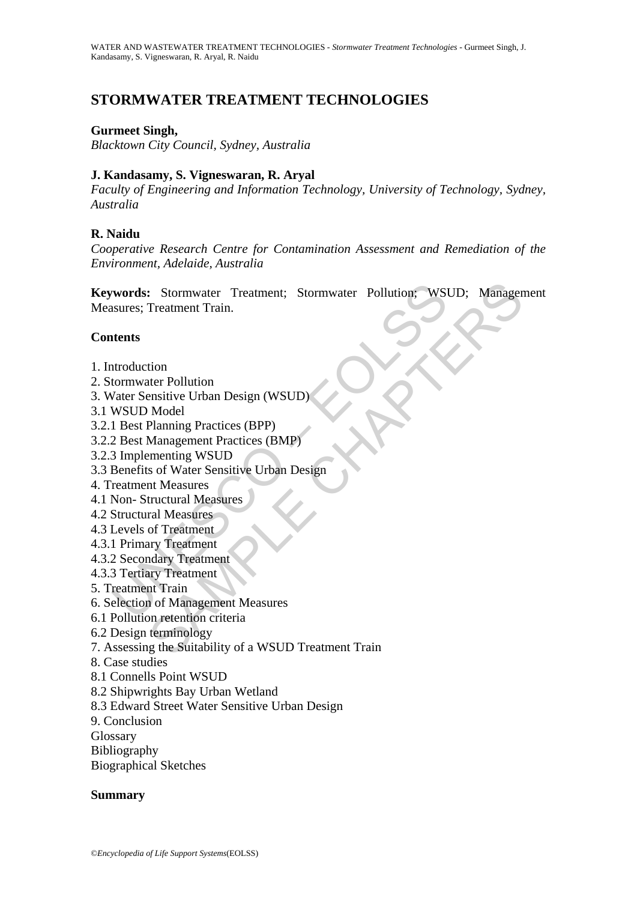# **STORMWATER TREATMENT TECHNOLOGIES**

## **Gurmeet Singh,**

*Blacktown City Council, Sydney, Australia* 

## **J. Kandasamy, S. Vigneswaran, R. Aryal**

*Faculty of Engineering and Information Technology, University of Technology, Sydney, Australia* 

## **R. Naidu**

*Cooperative Research Centre for Contamination Assessment and Remediation of the Environment, Adelaide, Australia* 

**Example: Stormwater Treatment; Stormwater Pollution; WSI<br>
Susures; Treatment Train.**<br> **Attents**<br> **Attents**<br> **CONSCO EXECO (UNESCO )**<br> **CONSCO Model**<br> **UNESCO Model**<br> **UNESCO Model**<br> **EQ Best Management Practices (BMP)**<br> Examples Treatment; Stormwater Pollution; WSUD; Manager<br>
Treatment Train.<br>
tion<br>
tion<br>
management Pollution<br>
Model<br>
Planning Practices (BPP)<br>
Management Practices (BMP)<br>
menning WSUD<br>
sof Water Sensitive Urban Design<br>
nt M **Keywords:** Stormwater Treatment; Stormwater Pollution; WSUD; Management Measures; Treatment Train.

## **Contents**

- 1. Introduction
- 2. Stormwater Pollution
- 3. Water Sensitive Urban Design (WSUD)
- 3.1 WSUD Model
- 3.2.1 Best Planning Practices (BPP)
- 3.2.2 Best Management Practices (BMP)
- 3.2.3 Implementing WSUD
- 3.3 Benefits of Water Sensitive Urban Design
- 4. Treatment Measures
- 4.1 Non- Structural Measures
- 4.2 Structural Measures
- 4.3 Levels of Treatment
- 4.3.1 Primary Treatment
- 4.3.2 Secondary Treatment
- 4.3.3 Tertiary Treatment
- 5. Treatment Train
- 6. Selection of Management Measures
- 6.1 Pollution retention criteria
- 6.2 Design terminology
- 7. Assessing the Suitability of a WSUD Treatment Train
- 8. Case studies
- 8.1 Connells Point WSUD
- 8.2 Shipwrights Bay Urban Wetland
- 8.3 Edward Street Water Sensitive Urban Design
- 9. Conclusion
- Glossary
- Bibliography
- Biographical Sketches

## **Summary**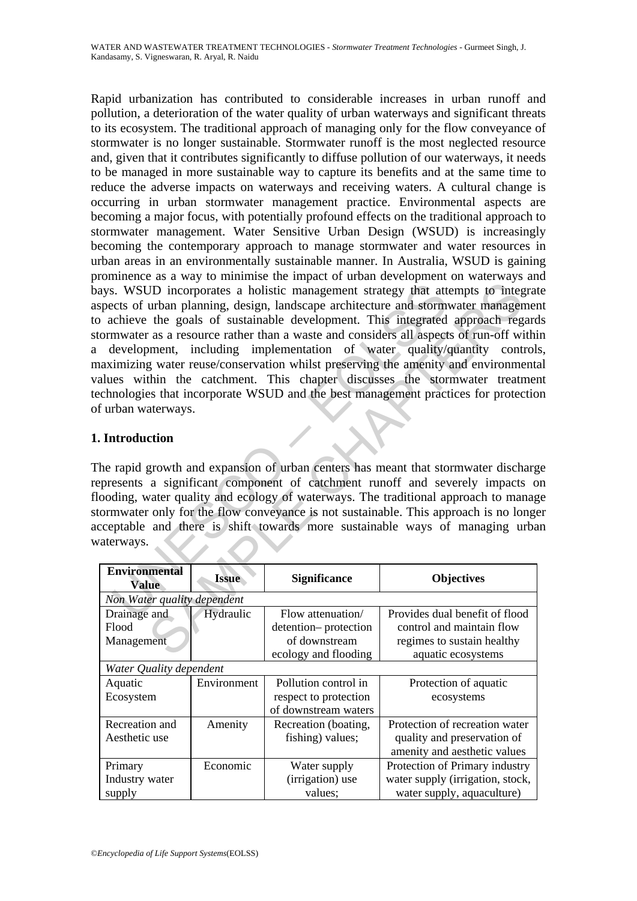S. WSUD incorporates a holistic management strategy that attices of urban planning, design, landscape architecture and storm<br>chieve the goals of sustainable development. This integrated<br>mwater as a resource rather than a w The intervalsion of the matter and the production and the production and the production and the production and the production and the production of the production of the production of the production of the production of th Rapid urbanization has contributed to considerable increases in urban runoff and pollution, a deterioration of the water quality of urban waterways and significant threats to its ecosystem. The traditional approach of managing only for the flow conveyance of stormwater is no longer sustainable. Stormwater runoff is the most neglected resource and, given that it contributes significantly to diffuse pollution of our waterways, it needs to be managed in more sustainable way to capture its benefits and at the same time to reduce the adverse impacts on waterways and receiving waters. A cultural change is occurring in urban stormwater management practice. Environmental aspects are becoming a major focus, with potentially profound effects on the traditional approach to stormwater management. Water Sensitive Urban Design (WSUD) is increasingly becoming the contemporary approach to manage stormwater and water resources in urban areas in an environmentally sustainable manner. In Australia, WSUD is gaining prominence as a way to minimise the impact of urban development on waterways and bays. WSUD incorporates a holistic management strategy that attempts to integrate aspects of urban planning, design, landscape architecture and stormwater management to achieve the goals of sustainable development. This integrated approach regards stormwater as a resource rather than a waste and considers all aspects of run-off within a development, including implementation of water quality/quantity controls, maximizing water reuse/conservation whilst preserving the amenity and environmental values within the catchment. This chapter discusses the stormwater treatment technologies that incorporate WSUD and the best management practices for protection of urban waterways.

## **1. Introduction**

The rapid growth and expansion of urban centers has meant that stormwater discharge represents a significant component of catchment runoff and severely impacts on flooding, water quality and ecology of waterways. The traditional approach to manage stormwater only for the flow conveyance is not sustainable. This approach is no longer acceptable and there is shift towards more sustainable ways of managing urban waterways.

| <b>Environmental</b><br><b>Value</b> | <b>Issue</b> | <b>Significance</b>   | <b>Objectives</b>                |  |  |
|--------------------------------------|--------------|-----------------------|----------------------------------|--|--|
| Non Water quality dependent          |              |                       |                                  |  |  |
| Drainage and                         | Hydraulic    | Flow attenuation/     | Provides dual benefit of flood   |  |  |
| Flood                                |              | detention-protection  | control and maintain flow        |  |  |
| Management                           |              | of downstream         | regimes to sustain healthy       |  |  |
|                                      |              | ecology and flooding  | aquatic ecosystems               |  |  |
| Water Quality dependent              |              |                       |                                  |  |  |
| Aquatic                              | Environment  | Pollution control in  | Protection of aquatic            |  |  |
| Ecosystem                            |              | respect to protection | ecosystems                       |  |  |
|                                      |              | of downstream waters  |                                  |  |  |
| Recreation and                       | Amenity      | Recreation (boating,  | Protection of recreation water   |  |  |
| Aesthetic use                        |              | fishing) values;      | quality and preservation of      |  |  |
|                                      |              |                       | amenity and aesthetic values     |  |  |
| Primary                              | Economic     | Water supply          | Protection of Primary industry   |  |  |
| Industry water                       |              | (irrigation) use      | water supply (irrigation, stock, |  |  |
| supply                               |              | values;               | water supply, aquaculture)       |  |  |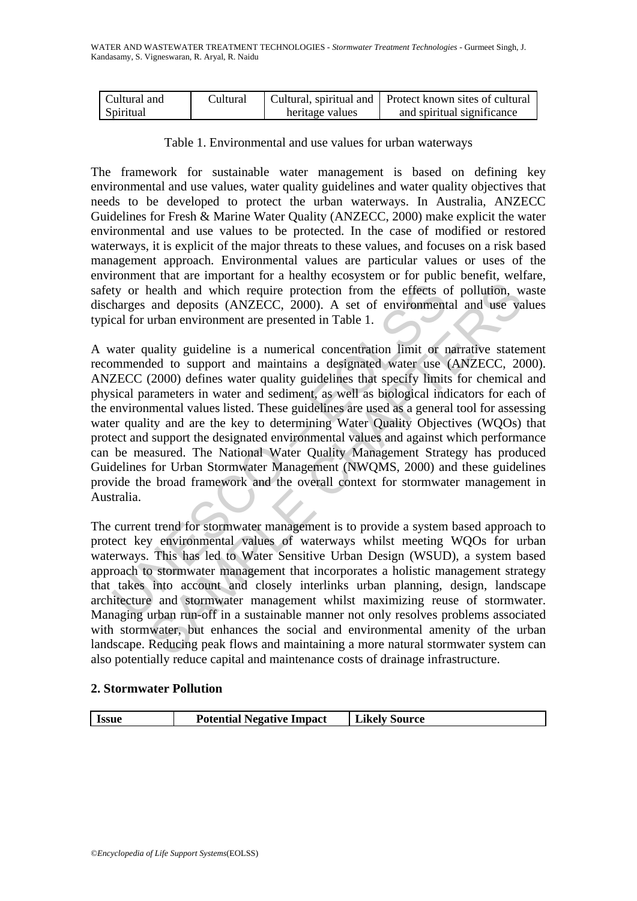| Cultural and | Cultural |                 | Cultural, spiritual and   Protect known sites of cultural |
|--------------|----------|-----------------|-----------------------------------------------------------|
| Spiritual    |          | heritage values | and spiritual significance                                |

Table 1. Environmental and use values for urban waterways

The framework for sustainable water management is based on defining key environmental and use values, water quality guidelines and water quality objectives that needs to be developed to protect the urban waterways. In Australia, ANZECC Guidelines for Fresh & Marine Water Quality (ANZECC, 2000) make explicit the water environmental and use values to be protected. In the case of modified or restored waterways, it is explicit of the major threats to these values, and focuses on a risk based management approach. Environmental values are particular values or uses of the environment that are important for a healthy ecosystem or for public benefit, welfare, safety or health and which require protection from the effects of pollution, waste discharges and deposits (ANZECC, 2000). A set of environmental and use values typical for urban environment are presented in Table 1.

ty or health and which require protection from the effects o<br>harges and deposits (ANZECC, 2000). A set of environment<br>cal for urban environment are presented in Table 1.<br>vater quality guideline is a numerical concentration health and which require protection from the effects of pollution, wand deposits (ANZECC, 2000). A set of environmental and use va<br>urban environment are presented in Table 1.<br>uality guideline is a numerical concentration l A water quality guideline is a numerical concentration limit or narrative statement recommended to support and maintains a designated water use (ANZECC, 2000). ANZECC (2000) defines water quality guidelines that specify limits for chemical and physical parameters in water and sediment, as well as biological indicators for each of the environmental values listed. These guidelines are used as a general tool for assessing water quality and are the key to determining Water Quality Objectives (WQOs) that protect and support the designated environmental values and against which performance can be measured. The National Water Quality Management Strategy has produced Guidelines for Urban Stormwater Management (NWQMS, 2000) and these guidelines provide the broad framework and the overall context for stormwater management in Australia.

The current trend for stormwater management is to provide a system based approach to protect key environmental values of waterways whilst meeting WQOs for urban waterways. This has led to Water Sensitive Urban Design (WSUD), a system based approach to stormwater management that incorporates a holistic management strategy that takes into account and closely interlinks urban planning, design, landscape architecture and stormwater management whilst maximizing reuse of stormwater. Managing urban run-off in a sustainable manner not only resolves problems associated with stormwater, but enhances the social and environmental amenity of the urban landscape. Reducing peak flows and maintaining a more natural stormwater system can also potentially reduce capital and maintenance costs of drainage infrastructure.

## **2. Stormwater Pollution**

| <b>Likely Source</b><br><b>Potential Negative Impact</b><br>Issue |
|-------------------------------------------------------------------|
|-------------------------------------------------------------------|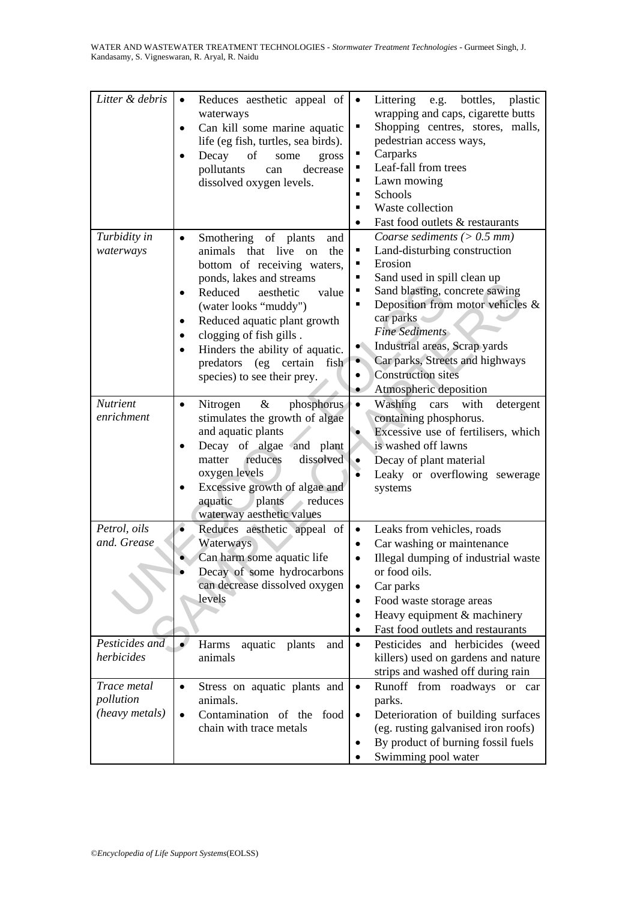| Litter & debris                            | Reduces aesthetic appeal of<br>$\bullet$<br>waterways<br>Can kill some marine aquatic<br>life (eg fish, turtles, sea birds).<br>Decay<br>of<br>some<br>gross<br>$\bullet$<br>pollutants<br>decrease<br>can<br>dissolved oxygen levels.                                                                                                                                | bottles,<br>Littering<br>e.g.<br>plastic<br>$\bullet$<br>wrapping and caps, cigarette butts<br>Shopping centres, stores, malls,<br>٠<br>pedestrian access ways,<br>Carparks<br>٠<br>Leaf-fall from trees<br>п<br>Lawn mowing<br>٠<br>Schools<br>٠<br>Waste collection<br>$\blacksquare$<br>Fast food outlets & restaurants<br>$\bullet$                                                      |
|--------------------------------------------|-----------------------------------------------------------------------------------------------------------------------------------------------------------------------------------------------------------------------------------------------------------------------------------------------------------------------------------------------------------------------|----------------------------------------------------------------------------------------------------------------------------------------------------------------------------------------------------------------------------------------------------------------------------------------------------------------------------------------------------------------------------------------------|
| Turbidity in<br>waterways                  | Smothering of plants<br>and<br>$\bullet$<br>animals<br>that live<br>the<br>on<br>bottom of receiving waters,<br>ponds, lakes and streams<br>Reduced<br>aesthetic<br>value<br>(water looks "muddy")<br>Reduced aquatic plant growth<br>clogging of fish gills.<br>٠<br>Hinders the ability of aquatic.<br>predators (eg certain<br>fish<br>species) to see their prey. | Coarse sediments ( $> 0.5$ mm)<br>Land-disturbing construction<br>٠<br>Erosion<br>٠<br>Sand used in spill clean up<br>п<br>Sand blasting, concrete sawing<br>п<br>Deposition from motor vehicles $\&$<br>×,<br>car parks<br>Fine Sediments<br>Industrial areas, Scrap yards<br>Car parks, Streets and highways<br>$\bullet$<br><b>Construction sites</b><br>٠<br>Atmospheric deposition<br>٠ |
| <b>Nutrient</b><br>enrichment              | $\&$<br>Nitrogen<br>phosphorus<br>$\bullet$<br>stimulates the growth of algae<br>and aquatic plants<br>Decay of algae and plant<br>dissolved<br>reduces<br>matter<br>oxygen levels<br>Excessive growth of algae and<br>aquatic<br>plants<br>reduces<br>waterway aesthetic values                                                                                      | $\bullet$<br>Washing<br>with<br>detergent<br>cars<br>containing phosphorus.<br>Excessive use of fertilisers, which<br>$\bullet$<br>is washed off lawns<br>Decay of plant material<br>$\bullet$<br>Leaky or overflowing sewerage<br>systems                                                                                                                                                   |
| Petrol, oils<br>and. Grease                | Reduces aesthetic appeal of<br>Waterways<br>Can harm some aquatic life<br>Decay of some hydrocarbons<br>can decrease dissolved oxygen<br>levels                                                                                                                                                                                                                       | Leaks from vehicles, roads<br>$\bullet$<br>Car washing or maintenance<br>$\bullet$<br>Illegal dumping of industrial waste<br>or food oils.<br>Car parks<br>$\bullet$<br>Food waste storage areas<br>$\bullet$<br>Heavy equipment & machinery<br>$\bullet$<br>Fast food outlets and restaurants<br>$\bullet$                                                                                  |
| Pesticides and<br>herbicides               | Harms<br>aquatic<br>plants<br>and<br>animals                                                                                                                                                                                                                                                                                                                          | Pesticides and herbicides (weed<br>$\bullet$<br>killers) used on gardens and nature<br>strips and washed off during rain                                                                                                                                                                                                                                                                     |
| Trace metal<br>pollution<br>(heavy metals) | Stress on aquatic plants and<br>$\bullet$<br>animals.<br>Contamination of the food<br>chain with trace metals                                                                                                                                                                                                                                                         | Runoff from roadways or<br>$\bullet$<br>car<br>parks.<br>Deterioration of building surfaces<br>$\bullet$<br>(eg. rusting galvanised iron roofs)<br>By product of burning fossil fuels<br>Swimming pool water                                                                                                                                                                                 |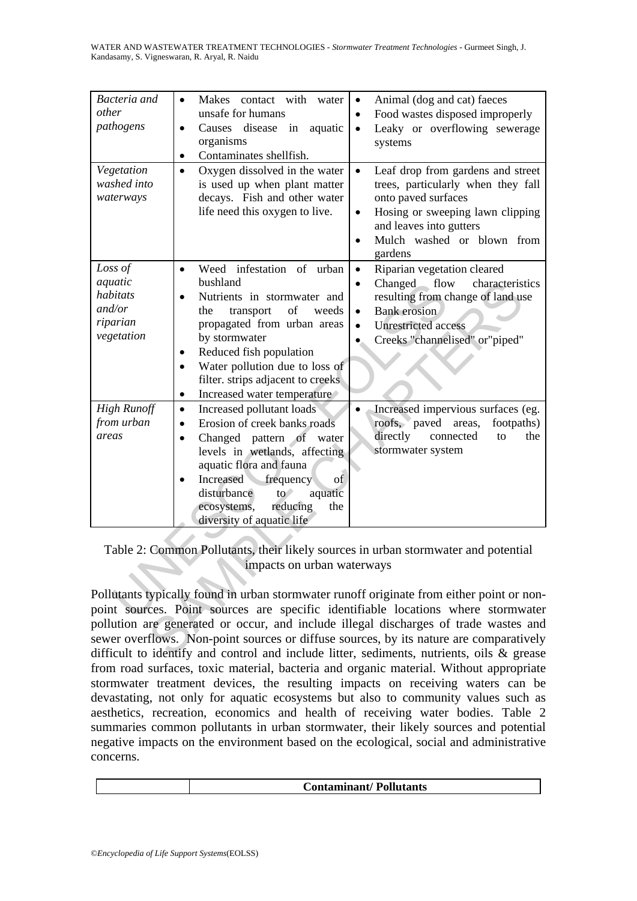WATER AND WASTEWATER TREATMENT TECHNOLOGIES - *Stormwater Treatment Technologies* - Gurmeet Singh, J. Kandasamy, S. Vigneswaran, R. Aryal, R. Naidu

| Bacteria and<br>other<br>pathogens                                 | Makes contact with water<br>$\bullet$<br>unsafe for humans<br>disease in<br>Causes<br>aquatic<br>organisms<br>Contaminates shellfish.<br>$\bullet$                                                                                                                                                          | Animal (dog and cat) faeces<br>$\bullet$<br>Food wastes disposed improperly<br>$\bullet$<br>Leaky or overflowing sewerage<br>$\bullet$<br>systems                                                                                                                                                                                                                                                                                                             |
|--------------------------------------------------------------------|-------------------------------------------------------------------------------------------------------------------------------------------------------------------------------------------------------------------------------------------------------------------------------------------------------------|---------------------------------------------------------------------------------------------------------------------------------------------------------------------------------------------------------------------------------------------------------------------------------------------------------------------------------------------------------------------------------------------------------------------------------------------------------------|
| Vegetation<br>washed into<br>waterways                             | Oxygen dissolved in the water<br>$\bullet$<br>is used up when plant matter<br>decays. Fish and other water<br>life need this oxygen to live.                                                                                                                                                                | $\bullet$<br>Leaf drop from gardens and street<br>trees, particularly when they fall<br>onto paved surfaces<br>Hosing or sweeping lawn clipping<br>$\bullet$<br>and leaves into gutters<br>Mulch washed or blown from<br>$\bullet$<br>gardens                                                                                                                                                                                                                 |
| Loss of<br>aquatic<br>habitats<br>and/or<br>riparian<br>vegetation | Weed infestation of urban<br>$\bullet$<br>bushland<br>Nutrients in stormwater and<br>the<br>transport<br>of<br>weeds<br>propagated from urban areas<br>by stormwater<br>Reduced fish population<br>Water pollution due to loss of<br>filter. strips adjacent to creeks<br>Increased water temperature<br>٠  | Riparian vegetation cleared<br>$\bullet$<br>flow<br>Changed<br>characteristics<br>$\bullet$<br>resulting from change of land use<br><b>Bank</b> erosion<br>$\bullet$<br><b>Unrestricted</b> access<br>$\bullet$<br>Creeks "channelised" or"piped"                                                                                                                                                                                                             |
| <b>High Runoff</b><br>from urban<br>areas                          | Increased pollutant loads<br>$\bullet$<br>Erosion of creek banks roads<br>Changed pattern of water<br>$\bullet$<br>levels in wetlands, affecting<br>aquatic flora and fauna<br>Increased frequency<br>of<br>disturbance<br>$to^*$<br>aquatic<br>ecosystems,<br>reducing<br>the<br>diversity of aquatic life | Increased impervious surfaces (eg.<br>roofs, paved areas,<br>footpaths)<br>directly<br>connected<br>the<br>to<br>stormwater system                                                                                                                                                                                                                                                                                                                            |
|                                                                    | impacts on urban waterways                                                                                                                                                                                                                                                                                  | Table 2: Common Pollutants, their likely sources in urban stormwater and potential                                                                                                                                                                                                                                                                                                                                                                            |
|                                                                    |                                                                                                                                                                                                                                                                                                             | Pollutants typically found in urban stormwater runoff originate from either point or non-<br>point sources. Point sources are specific identifiable locations where stormwater<br>pollution are generated or occur, and include illegal discharges of trade wastes and<br>sewer overflows. Non-point sources or diffuse sources, by its nature are comparatively<br>difficult to identify and control and include litter, sediments, nutrients, oils & grease |

Pollutants typically found in urban stormwater runoff originate from either point or nonpoint sources. Point sources are specific identifiable locations where stormwater pollution are generated or occur, and include illegal discharges of trade wastes and sewer overflows. Non-point sources or diffuse sources, by its nature are comparatively difficult to identify and control and include litter, sediments, nutrients, oils & grease from road surfaces, toxic material, bacteria and organic material. Without appropriate stormwater treatment devices, the resulting impacts on receiving waters can be devastating, not only for aquatic ecosystems but also to community values such as aesthetics, recreation, economics and health of receiving water bodies. Table 2 summaries common pollutants in urban stormwater, their likely sources and potential negative impacts on the environment based on the ecological, social and administrative concerns.

 **Contaminant/ Pollutants**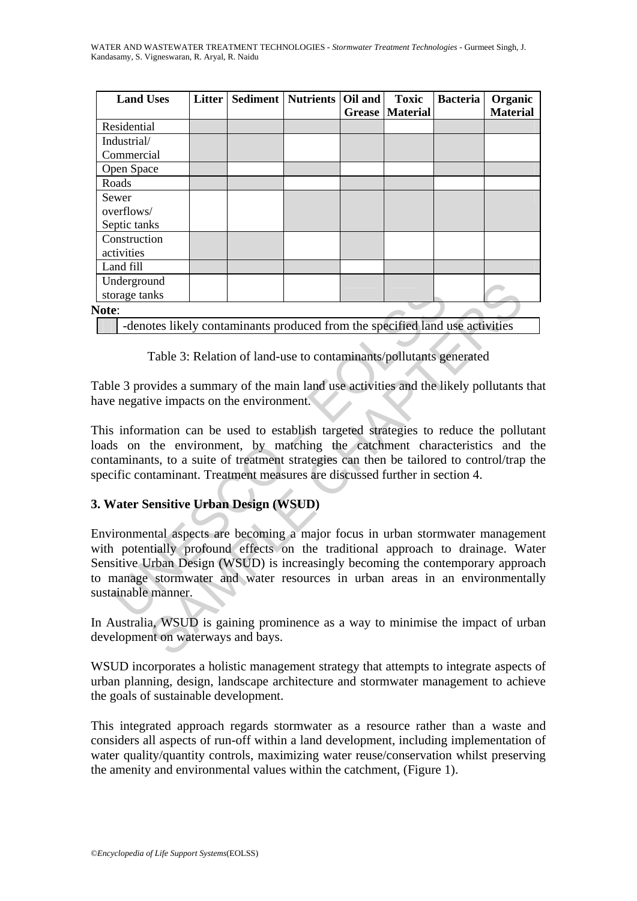WATER AND WASTEWATER TREATMENT TECHNOLOGIES - *Stormwater Treatment Technologies* - Gurmeet Singh, J. Kandasamy, S. Vigneswaran, R. Aryal, R. Naidu

| <b>Land Uses</b>                                                             | <b>Litter</b> | Sediment | <b>Nutrients</b> | Oil and<br><b>Grease</b> | <b>Toxic</b><br><b>Material</b> | <b>Bacteria</b> | Organic<br><b>Material</b> |
|------------------------------------------------------------------------------|---------------|----------|------------------|--------------------------|---------------------------------|-----------------|----------------------------|
| Residential                                                                  |               |          |                  |                          |                                 |                 |                            |
| Industrial/<br>Commercial                                                    |               |          |                  |                          |                                 |                 |                            |
| Open Space                                                                   |               |          |                  |                          |                                 |                 |                            |
| Roads                                                                        |               |          |                  |                          |                                 |                 |                            |
| Sewer<br>overflows/<br>Septic tanks                                          |               |          |                  |                          |                                 |                 |                            |
| Construction<br>activities                                                   |               |          |                  |                          |                                 |                 |                            |
| Land fill                                                                    |               |          |                  |                          |                                 |                 |                            |
| Underground<br>storage tanks                                                 |               |          |                  |                          |                                 |                 |                            |
| <b>Note:</b>                                                                 |               |          |                  |                          |                                 |                 |                            |
| -denotes likely contaminants produced from the specified land use activities |               |          |                  |                          |                                 |                 |                            |

Table 3: Relation of land-use to contaminants/pollutants generated

Table 3 provides a summary of the main land use activities and the likely pollutants that have negative impacts on the environment.

This information can be used to establish targeted strategies to reduce the pollutant loads on the environment, by matching the catchment characteristics and the contaminants, to a suite of treatment strategies can then be tailored to control/trap the specific contaminant. Treatment measures are discussed further in section 4.

## **3. Water Sensitive Urban Design (WSUD)**

noterground<br>
Translate and the specified land is<br>
Translate and I and the specified land is<br>
e.<br>
C. Idenotes likely contaminants produced from the specified land is<br>
ele 3 provides a summary of the main land use activities nns<br>
Inks<br>
Inks<br>
Inks<br>
Inks<br>
Inks<br>
Inks<br>
Steely contaminants produced from the specified land use activities<br>
Table 3: Relation of land-use to contaminants/pollutants generated<br>
vides a summary of the main land use activit Environmental aspects are becoming a major focus in urban stormwater management with potentially profound effects on the traditional approach to drainage. Water Sensitive Urban Design (WSUD) is increasingly becoming the contemporary approach to manage stormwater and water resources in urban areas in an environmentally sustainable manner.

In Australia, WSUD is gaining prominence as a way to minimise the impact of urban development on waterways and bays.

WSUD incorporates a holistic management strategy that attempts to integrate aspects of urban planning, design, landscape architecture and stormwater management to achieve the goals of sustainable development.

This integrated approach regards stormwater as a resource rather than a waste and considers all aspects of run-off within a land development, including implementation of water quality/quantity controls, maximizing water reuse/conservation whilst preserving the amenity and environmental values within the catchment, (Figure 1).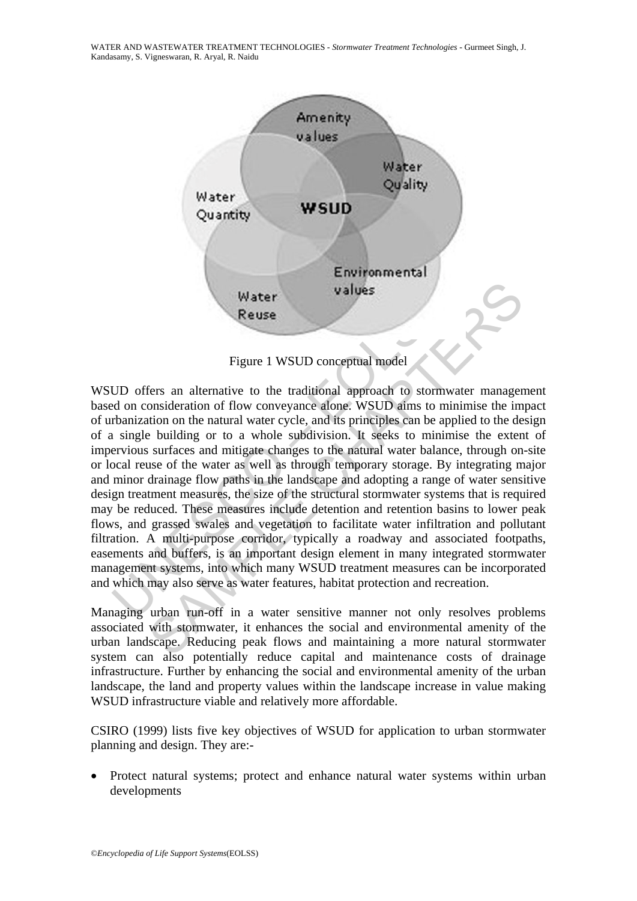WATER AND WASTEWATER TREATMENT TECHNOLOGIES - *Stormwater Treatment Technologies* - Gurmeet Singh, J. Kandasamy, S. Vigneswaran, R. Aryal, R. Naidu



Figure 1 WSUD conceptual model

Water<br>
Water<br>
Reuse<br>
Reuse<br>
Reuse<br>
Higure 1 WSUD conceptual model<br>
UD offers an alternative to the traditional approach to storm<br>
ad on consideration of flow conveyance alone. WSUD aims to m<br>
thanization on the natural wat Water<br>
Water<br>
Reuse<br>
Reuse<br>
Figure 1 WSUD conceptual model<br>
fers an alternative to the traditional approach to stormwater manager<br>
onsideration of flow conveyance alone. WSUD aims to minimise the im<br>
tion on the natural wa WSUD offers an alternative to the traditional approach to stormwater management based on consideration of flow conveyance alone. WSUD aims to minimise the impact of urbanization on the natural water cycle, and its principles can be applied to the design of a single building or to a whole subdivision. It seeks to minimise the extent of impervious surfaces and mitigate changes to the natural water balance, through on-site or local reuse of the water as well as through temporary storage. By integrating major and minor drainage flow paths in the landscape and adopting a range of water sensitive design treatment measures, the size of the structural stormwater systems that is required may be reduced. These measures include detention and retention basins to lower peak flows, and grassed swales and vegetation to facilitate water infiltration and pollutant filtration. A multi-purpose corridor, typically a roadway and associated footpaths, easements and buffers, is an important design element in many integrated stormwater management systems, into which many WSUD treatment measures can be incorporated and which may also serve as water features, habitat protection and recreation.

Managing urban run-off in a water sensitive manner not only resolves problems associated with stormwater, it enhances the social and environmental amenity of the urban landscape. Reducing peak flows and maintaining a more natural stormwater system can also potentially reduce capital and maintenance costs of drainage infrastructure. Further by enhancing the social and environmental amenity of the urban landscape, the land and property values within the landscape increase in value making WSUD infrastructure viable and relatively more affordable.

CSIRO (1999) lists five key objectives of WSUD for application to urban stormwater planning and design. They are:-

• Protect natural systems; protect and enhance natural water systems within urban developments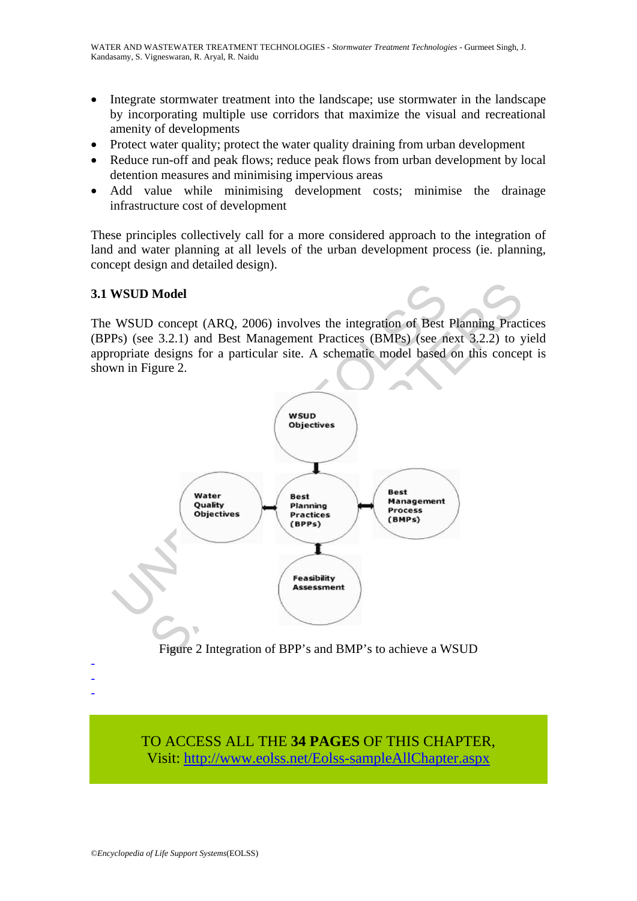- Integrate stormwater treatment into the landscape; use stormwater in the landscape by incorporating multiple use corridors that maximize the visual and recreational amenity of developments
- Protect water quality; protect the water quality draining from urban development
- Reduce run-off and peak flows; reduce peak flows from urban development by local detention measures and minimising impervious areas
- Add value while minimising development costs; minimise the drainage infrastructure cost of development

These principles collectively call for a more considered approach to the integration of land and water planning at all levels of the urban development process (ie. planning, concept design and detailed design).

## **3.1 WSUD Model**

The WSUD concept (ARQ, 2006) involves the integration of Best Planning Practices (BPPs) (see 3.2.1) and Best Management Practices (BMPs) (see next 3.2.2) to yield appropriate designs for a particular site. A schematic model based on this concept is shown in Figure 2.



Figure 2 Integration of BPP's and BMP's to achieve a WSUD

TO ACCESS ALL THE **34 PAGES** OF THIS CHAPTER, Visit: [http://www.eolss.net/Eolss-sampleAllChapter.aspx](https://www.eolss.net/ebooklib/sc_cart.aspx?File=E6-144-14)

- - -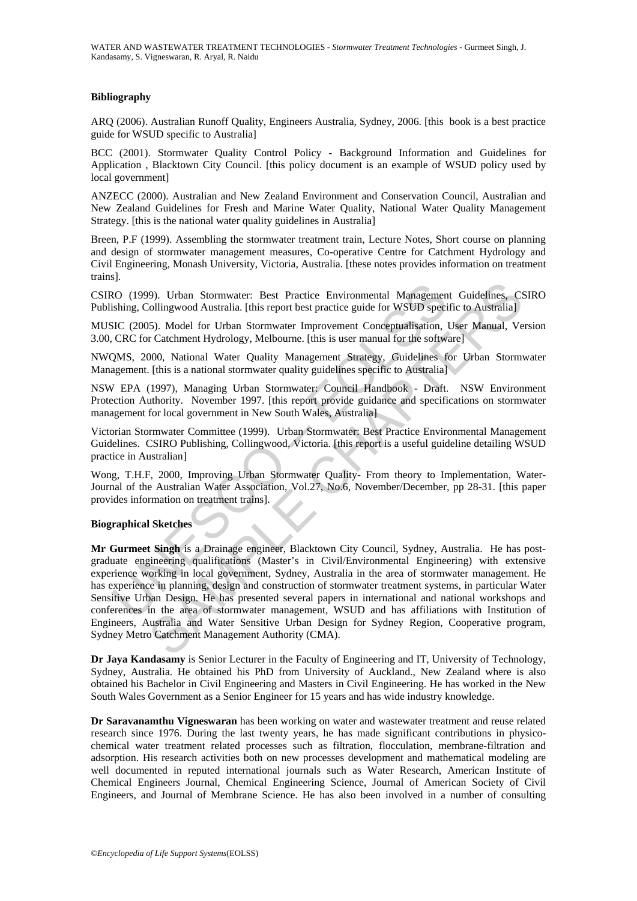### **Bibliography**

ARQ (2006). Australian Runoff Quality, Engineers Australia, Sydney, 2006. [this book is a best practice guide for WSUD specific to Australia]

BCC (2001). Stormwater Quality Control Policy - Background Information and Guidelines for Application , Blacktown City Council. [this policy document is an example of WSUD policy used by local government]

ANZECC (2000). Australian and New Zealand Environment and Conservation Council, Australian and New Zealand Guidelines for Fresh and Marine Water Quality, National Water Quality Management Strategy. [this is the national water quality guidelines in Australia]

Breen, P.F (1999). Assembling the stormwater treatment train, Lecture Notes, Short course on planning and design of stormwater management measures, Co-operative Centre for Catchment Hydrology and Civil Engineering, Monash University, Victoria, Australia. [these notes provides information on treatment trains].

CSIRO (1999). Urban Stormwater: Best Practice Environmental Management Guidelines, CSIRO Publishing, Collingwood Australia. [this report best practice guide for WSUD specific to Australia]

MUSIC (2005). Model for Urban Stormwater Improvement Conceptualisation, User Manual, Version 3.00, CRC for Catchment Hydrology, Melbourne. [this is user manual for the software]

NWQMS, 2000, National Water Quality Management Strategy, Guidelines for Urban Stormwater Management. [this is a national stormwater quality guidelines specific to Australia]

NSW EPA (1997), Managing Urban Stormwater: Council Handbook - Draft. NSW Environment Protection Authority. November 1997. [this report provide guidance and specifications on stormwater management for local government in New South Wales, Australia]

Victorian Stormwater Committee (1999). Urban Stormwater: Best Practice Environmental Management Guidelines. CSIRO Publishing, Collingwood, Victoria. [this report is a useful guideline detailing WSUD practice in Australian]

Wong, T.H.F, 2000, Improving Urban Stormwater Quality- From theory to Implementation, Water-Journal of the Australian Water Association, Vol.27, No.6, November/December, pp 28-31. [this paper provides information on treatment trains].

#### **Biographical Sketches**

2000 (1999). Urban Stormwater: Best Practice Environmental Management<br>
RO (1999). Urban Stormwater: Best Practice guide for WSUD specific<br>
SIC (2005). Model for Urban Stormwater Improvement Conceptualisation,<br>
CRC for Catc 99). Urban Stormwater: Best Practice Environmental Management Guidelines, Collingwood Australia. [this report best practice guide for WSUD specific to Australia] N5). Model for Urban Stormwater Improvement Conceptualisatio **Mr Gurmeet Singh** is a Drainage engineer, Blacktown City Council, Sydney, Australia. He has postgraduate engineering qualifications (Master's in Civil/Environmental Engineering) with extensive experience working in local government, Sydney, Australia in the area of stormwater management. He has experience in planning, design and construction of stormwater treatment systems, in particular Water Sensitive Urban Design. He has presented several papers in international and national workshops and conferences in the area of stormwater management, WSUD and has affiliations with Institution of Engineers, Australia and Water Sensitive Urban Design for Sydney Region, Cooperative program, Sydney Metro Catchment Management Authority (CMA).

**Dr Jaya Kandasamy** is Senior Lecturer in the Faculty of Engineering and IT, University of Technology, Sydney, Australia. He obtained his PhD from University of Auckland., New Zealand where is also obtained his Bachelor in Civil Engineering and Masters in Civil Engineering. He has worked in the New South Wales Government as a Senior Engineer for 15 years and has wide industry knowledge.

**Dr Saravanamthu Vigneswaran** has been working on water and wastewater treatment and reuse related research since 1976. During the last twenty years, he has made significant contributions in physicochemical water treatment related processes such as filtration, flocculation, membrane-filtration and adsorption. His research activities both on new processes development and mathematical modeling are well documented in reputed international journals such as Water Research, American Institute of Chemical Engineers Journal, Chemical Engineering Science, Journal of American Society of Civil Engineers, and Journal of Membrane Science. He has also been involved in a number of consulting